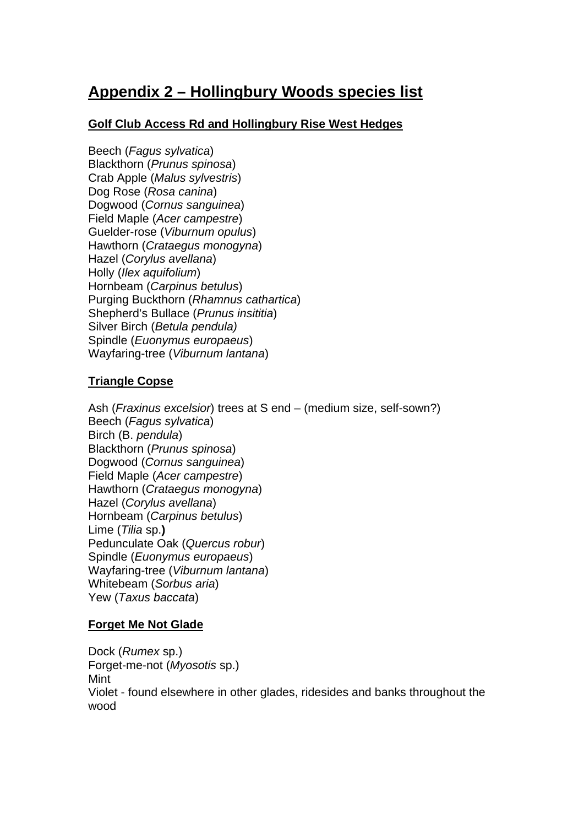# **Appendix 2 – Hollingbury Woods species list**

# **Golf Club Access Rd and Hollingbury Rise West Hedges**

Beech (*Fagus sylvatica*) Blackthorn (*Prunus spinosa*) Crab Apple (*Malus sylvestris*) Dog Rose (*Rosa canina*) Dogwood (*Cornus sanguinea*) Field Maple (*Acer campestre*) Guelder-rose (*Viburnum opulus*) Hawthorn (*Crataegus monogyna*) Hazel (*Corylus avellana*) Holly (*Ilex aquifolium*) Hornbeam (*Carpinus betulus*) Purging Buckthorn (*Rhamnus cathartica*) Shepherd's Bullace (*Prunus insititia*) Silver Birch (*Betula pendula)*  Spindle (*Euonymus europaeus*) Wayfaring-tree (*Viburnum lantana*)

# **Triangle Copse**

Ash (*Fraxinus excelsior*) trees at S end – (medium size, self-sown?) Beech (*Fagus sylvatica*) Birch (B. *pendula*) Blackthorn (*Prunus spinosa*) Dogwood (*Cornus sanguinea*) Field Maple (*Acer campestre*) Hawthorn (*Crataegus monogyna*) Hazel (*Corylus avellana*) Hornbeam (*Carpinus betulus*) Lime (*Tilia* sp.**)**  Pedunculate Oak (*Quercus robur*) Spindle (*Euonymus europaeus*) Wayfaring-tree (*Viburnum lantana*) Whitebeam (*Sorbus aria*) Yew (*Taxus baccata*)

# **Forget Me Not Glade**

Dock (*Rumex* sp.) Forget-me-not (*Myosotis* sp.) Mint Violet - found elsewhere in other glades, ridesides and banks throughout the wood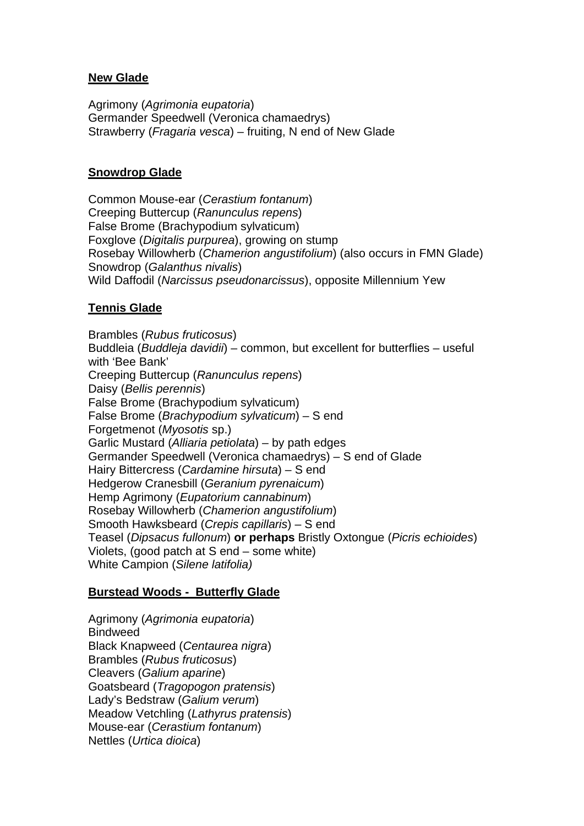## **New Glade**

Agrimony (*Agrimonia eupatoria*) Germander Speedwell (Veronica chamaedrys) Strawberry (*Fragaria vesca*) – fruiting, N end of New Glade

## **Snowdrop Glade**

Common Mouse-ear (*Cerastium fontanum*) Creeping Buttercup (*Ranunculus repens*) False Brome (Brachypodium sylvaticum) Foxglove (*Digitalis purpurea*), growing on stump Rosebay Willowherb (*Chamerion angustifolium*) (also occurs in FMN Glade) Snowdrop (*Galanthus nivalis*) Wild Daffodil (*Narcissus pseudonarcissus*), opposite Millennium Yew

# **Tennis Glade**

Brambles (*Rubus fruticosus*) Buddleia (*Buddleja davidii*) – common, but excellent for butterflies – useful with 'Bee Bank' Creeping Buttercup (*Ranunculus repens*) Daisy (*Bellis perennis*) False Brome (Brachypodium sylvaticum) False Brome (*Brachypodium sylvaticum*) – S end Forgetmenot (*Myosotis* sp.) Garlic Mustard (*Alliaria petiolata*) – by path edges Germander Speedwell (Veronica chamaedrys) – S end of Glade Hairy Bittercress (*Cardamine hirsuta*) – S end Hedgerow Cranesbill (*Geranium pyrenaicum*) Hemp Agrimony (*Eupatorium cannabinum*) Rosebay Willowherb (*Chamerion angustifolium*) Smooth Hawksbeard (*Crepis capillaris*) – S end Teasel (*Dipsacus fullonum*) **or perhaps** Bristly Oxtongue (*Picris echioides*) Violets, (good patch at S end – some white) White Campion (*Silene latifolia)*

# **Burstead Woods - Butterfly Glade**

Agrimony (*Agrimonia eupatoria*) **Bindweed** Black Knapweed (*Centaurea nigra*) Brambles (*Rubus fruticosus*) Cleavers (*Galium aparine*) Goatsbeard (*Tragopogon pratensis*) Lady's Bedstraw (*Galium verum*) Meadow Vetchling (*Lathyrus pratensis*) Mouse-ear (*Cerastium fontanum*) Nettles (*Urtica dioica*)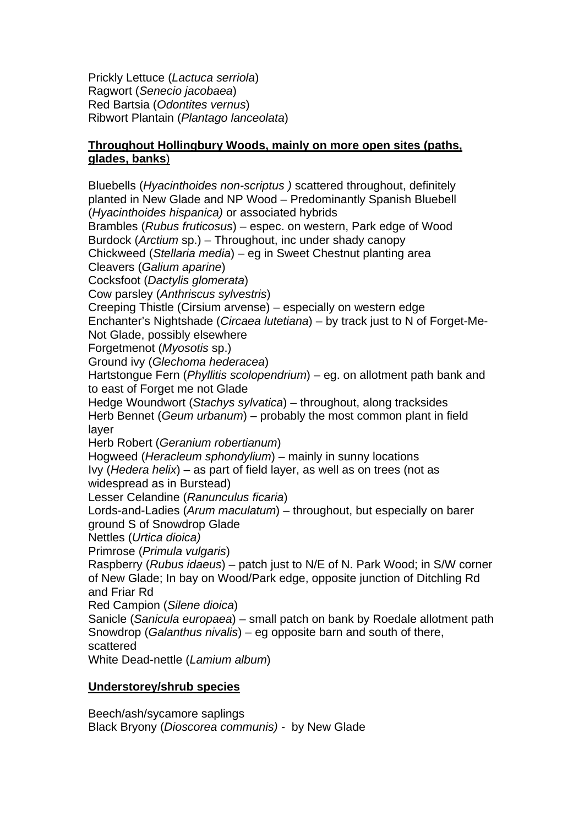Prickly Lettuce (*Lactuca serriola*) Ragwort (*Senecio jacobaea*) Red Bartsia (*Odontites vernus*) Ribwort Plantain (*Plantago lanceolata*)

## **Throughout Hollingbury Woods, mainly on more open sites (paths, glades, banks**)

Bluebells (*Hyacinthoides non-scriptus )* scattered throughout, definitely planted in New Glade and NP Wood – Predominantly Spanish Bluebell (*Hyacinthoides hispanica)* or associated hybrids Brambles (*Rubus fruticosus*) – espec. on western, Park edge of Wood Burdock (*Arctium* sp.) – Throughout, inc under shady canopy Chickweed (*Stellaria media*) – eg in Sweet Chestnut planting area Cleavers (*Galium aparine*) Cocksfoot (*Dactylis glomerata*) Cow parsley (*Anthriscus sylvestris*) Creeping Thistle (Cirsium arvense) – especially on western edge Enchanter's Nightshade (*Circaea lutetiana*) – by track just to N of Forget-Me-Not Glade, possibly elsewhere Forgetmenot (*Myosotis* sp.) Ground ivy (*Glechoma hederacea*) Hartstongue Fern (*Phyllitis scolopendrium*) – eg. on allotment path bank and to east of Forget me not Glade Hedge Woundwort (*Stachys sylvatica*) – throughout, along tracksides Herb Bennet (*Geum urbanum*) – probably the most common plant in field layer Herb Robert (*Geranium robertianum*) Hogweed (*Heracleum sphondylium*) – mainly in sunny locations Ivy (*Hedera helix*) – as part of field layer, as well as on trees (not as widespread as in Burstead) Lesser Celandine (*Ranunculus ficaria*) Lords-and-Ladies (*Arum maculatum*) – throughout, but especially on barer ground S of Snowdrop Glade Nettles (*Urtica dioica)*  Primrose (*Primula vulgaris*) Raspberry (*Rubus idaeus*) – patch just to N/E of N. Park Wood; in S/W corner of New Glade; In bay on Wood/Park edge, opposite junction of Ditchling Rd and Friar Rd Red Campion (*Silene dioica*) Sanicle (*Sanicula europaea*) – small patch on bank by Roedale allotment path Snowdrop (*Galanthus nivalis*) – eg opposite barn and south of there, scattered White Dead-nettle (*Lamium album*)

# **Understorey/shrub species**

Beech/ash/sycamore saplings Black Bryony (*Dioscorea communis) -* by New Glade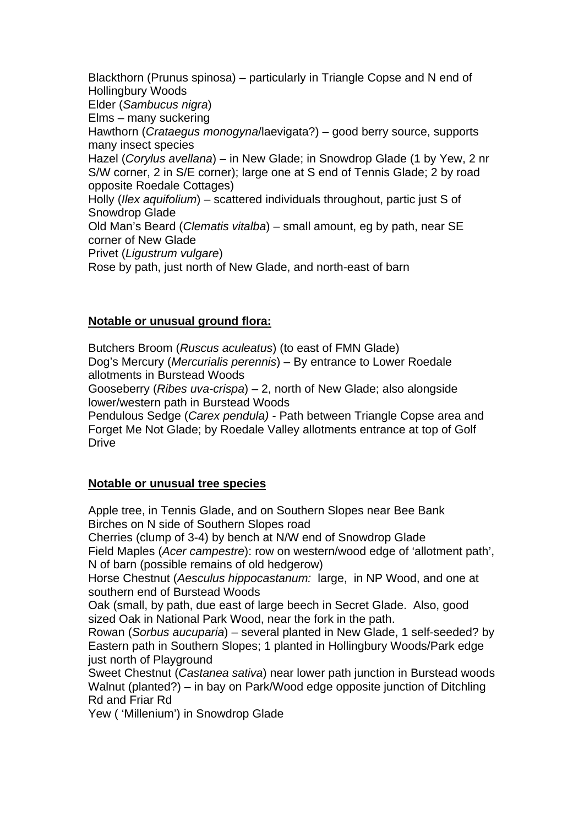Blackthorn (Prunus spinosa) – particularly in Triangle Copse and N end of Hollingbury Woods Elder (*Sambucus nigra*) Elms – many suckering Hawthorn (*Crataegus monogyna*/laevigata?) – good berry source, supports many insect species Hazel (*Corylus avellana*) – in New Glade; in Snowdrop Glade (1 by Yew, 2 nr S/W corner, 2 in S/E corner); large one at S end of Tennis Glade; 2 by road opposite Roedale Cottages) Holly (*Ilex aquifolium*) – scattered individuals throughout, partic just S of Snowdrop Glade Old Man's Beard (*Clematis vitalba*) – small amount, eg by path, near SE corner of New Glade Privet (*Ligustrum vulgare*) Rose by path, just north of New Glade, and north-east of barn

# **Notable or unusual ground flora:**

Butchers Broom (*Ruscus aculeatus*) (to east of FMN Glade) Dog's Mercury (*Mercurialis perennis*) – By entrance to Lower Roedale allotments in Burstead Woods

Gooseberry (*Ribes uva-crispa*) – 2, north of New Glade; also alongside lower/western path in Burstead Woods

Pendulous Sedge (*Carex pendula) -* Path between Triangle Copse area and Forget Me Not Glade; by Roedale Valley allotments entrance at top of Golf Drive

#### **Notable or unusual tree species**

Apple tree, in Tennis Glade, and on Southern Slopes near Bee Bank Birches on N side of Southern Slopes road

Cherries (clump of 3-4) by bench at N/W end of Snowdrop Glade Field Maples (*Acer campestre*): row on western/wood edge of 'allotment path', N of barn (possible remains of old hedgerow)

Horse Chestnut (*Aesculus hippocastanum:* large, in NP Wood, and one at southern end of Burstead Woods

Oak (small, by path, due east of large beech in Secret Glade. Also, good sized Oak in National Park Wood, near the fork in the path.

Rowan (*Sorbus aucuparia*) – several planted in New Glade, 1 self-seeded? by Eastern path in Southern Slopes; 1 planted in Hollingbury Woods/Park edge just north of Playground

Sweet Chestnut (*Castanea sativa*) near lower path junction in Burstead woods Walnut (planted?) – in bay on Park/Wood edge opposite junction of Ditchling Rd and Friar Rd

Yew ( 'Millenium') in Snowdrop Glade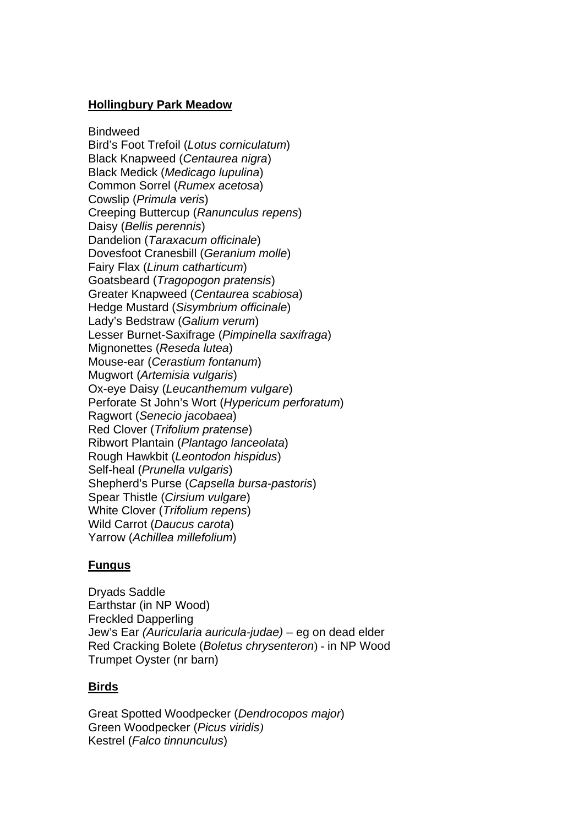#### **Hollingbury Park Meadow**

**Bindweed** Bird's Foot Trefoil (*Lotus corniculatum*) Black Knapweed (*Centaurea nigra*) Black Medick (*Medicago lupulina*) Common Sorrel (*Rumex acetosa*) Cowslip (*Primula veris*) Creeping Buttercup (*Ranunculus repens*) Daisy (*Bellis perennis*) Dandelion (*Taraxacum officinale*) Dovesfoot Cranesbill (*Geranium molle*) Fairy Flax (*Linum catharticum*) Goatsbeard (*Tragopogon pratensis*) Greater Knapweed (*Centaurea scabiosa*) Hedge Mustard (*Sisymbrium officinale*) Lady's Bedstraw (*Galium verum*) Lesser Burnet-Saxifrage (*Pimpinella saxifraga*) Mignonettes (*Reseda lutea*) Mouse-ear (*Cerastium fontanum*) Mugwort (*Artemisia vulgaris*) Ox-eye Daisy (*Leucanthemum vulgare*) Perforate St John's Wort (*Hypericum perforatum*) Ragwort (*Senecio jacobaea*) Red Clover (*Trifolium pratense*) Ribwort Plantain (*Plantago lanceolata*) Rough Hawkbit (*Leontodon hispidus*) Self-heal (*Prunella vulgaris*) Shepherd's Purse (*Capsella bursa-pastoris*) Spear Thistle (*Cirsium vulgare*) White Clover (*Trifolium repens*) Wild Carrot (*Daucus carota*) Yarrow (*Achillea millefolium*)

#### **Fungus**

Dryads Saddle Earthstar (in NP Wood) Freckled Dapperling Jew's Ear *(Auricularia auricula-judae)* – eg on dead elder Red Cracking Bolete (*Boletus chrysenteron*) - in NP Wood Trumpet Oyster (nr barn)

#### **Birds**

Great Spotted Woodpecker (*Dendrocopos major*) Green Woodpecker (*Picus viridis)* Kestrel (*Falco tinnunculus*)